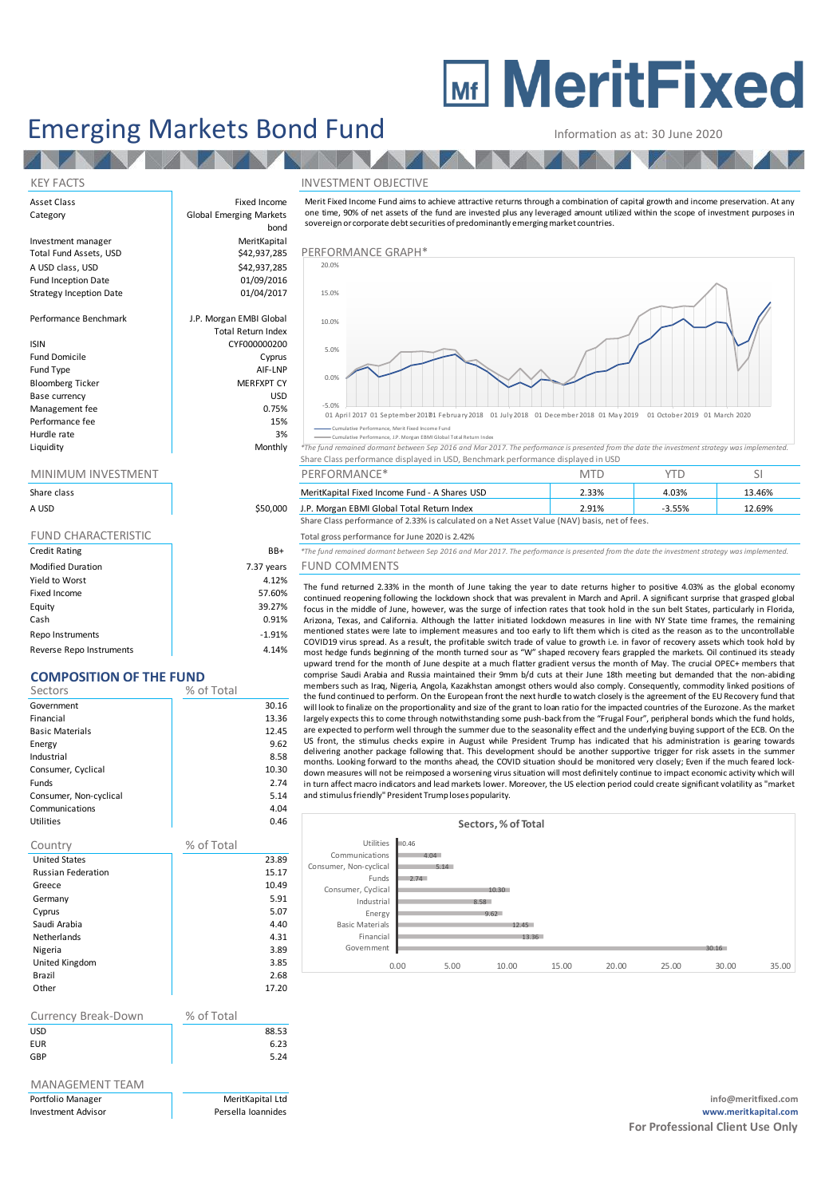## **MEDITE MeritFixed**

## Emerging Markets Bond Fund Information as at: 30 June 2020 Information as at: 30 June 2020<br>
NVESTMENT OBJECTIVE<br>
Merit Fixed Income Fund aims to achieve attractive returns through a combination of capital growth and income preservation. At any<br>
one time, 90% of net assets of the f

bond

Asset Class **Fixed Income** 

#### KEY FACTS INVESTMENT OBJECTIVE

Category **Global Emerging Markets** Investment manager MeritKapital Total Fund Assets, USD **\$42,937,285** A USD class, USD \$42,937,285 Performance Graph Fund Inception Date **12 bis 12 contract 101/09/2016**<br>Strategy Inception Date 101/04/2017 Strategy Inception Date Performance Benchmark J.P. Morgan EMBI Global ISIN CYF000000200 Fund Domicile **Cyprus** Fund Type AIF-LNP Bloomberg Ticker Base currency and the state of the USD USD USD Management fee between the contraction of the contraction of the contraction of the contraction of the contraction of the contraction of the contraction of the contraction of the contraction of the contraction of the contr Performance fee 15% and 15% and 15% and 15% and 15% and 15% and 15% and 15% and 15% and 15% and 15% and 15% and 15% and 15% and 15% and 15% and 15% and 15% and 15% and 15% and 15% and 15% and 15% and 15% and 15% and 15% an

**START** 

| Share class<br>A USD       | \$50,000   |
|----------------------------|------------|
| <b>FUND CHARACTERISTIC</b> |            |
| <b>Credit Rating</b>       | BB+        |
| <b>Modified Duration</b>   | 7.37 years |
| Yield to Worst             | 4.12%      |
| Fixed Income               | 57.60%     |
| Equity                     | 39.27%     |
| Cash                       | 0.91%      |
| Repo Instruments           | $-1.91%$   |

#### Reverse Repo Instruments and the control of the 4.14%

### **COMPOSITION OF THE FUND**

| Sectors                | % of Total |
|------------------------|------------|
| Government             | 30.16      |
| Financial              | 13.36      |
| <b>Basic Materials</b> | 12.45      |
| Energy                 | 9.62       |
| Industrial             | 8.58       |
| Consumer, Cyclical     | 10.30      |
| <b>Funds</b>           | 2.74       |
| Consumer, Non-cyclical | 5.14       |
| Communications         | 4.04       |
| Utilities              | 0.46       |
|                        |            |

| Country                   | % of Total |
|---------------------------|------------|
| <b>United States</b>      | 23.89      |
| <b>Russian Federation</b> | 15.17      |
| Greece                    | 10.49      |
| Germany                   | 5.91       |
| Cyprus                    | 5.07       |
| Saudi Arabia              | 4.40       |
| <b>Netherlands</b>        | 4.31       |
| Nigeria                   | 3.89       |
| United Kingdom            | 3.85       |
| Brazil                    | 2.68       |
| Other                     | 17.20      |
|                           |            |

| Currency Break-Down | % of Total |       |
|---------------------|------------|-------|
| <b>USD</b>          |            | 88.53 |
| <b>EUR</b>          |            | 6.23  |
| GBP                 |            | 5.24  |
|                     |            |       |

## MANAGEMENT TEAM

| A USD                                                                            | \$50,000                  | J.P. Morgan EBMI Global Total Return Index                                                                                                    | 2.91%      | $-3.55%$   | 12.69% |
|----------------------------------------------------------------------------------|---------------------------|-----------------------------------------------------------------------------------------------------------------------------------------------|------------|------------|--------|
| Share class                                                                      |                           | MeritKapital Fixed Income Fund - A Shares USD                                                                                                 | 2.33%      | 4.03%      | 13.46% |
| MINIMUM INVESTMENT                                                               |                           | PERFORMANCE*                                                                                                                                  | <b>MTD</b> | <b>YTD</b> | SI.    |
| Share Class performance displayed in USD, Benchmark performance displayed in USD |                           |                                                                                                                                               |            |            |        |
| Liquidity                                                                        | Monthly                   | *The fund remained dormant between Sep 2016 and Mar 2017. The performance is presented from the date the investment strategy was implemented. |            |            |        |
| Hurdle rate                                                                      | 3%                        | Cumulative Performance, Merit Fixed Income Fund<br>Cumulative Performance, J.P. Morgan EBMI Global Total Return Index                         |            |            |        |
| Performance fee                                                                  | 15%                       | 01 April 2017 01 September 20101 February 2018 01 July 2018 01 December 2018 01 May 2019 01 October 2019 01 March 2020                        |            |            |        |
| Management fee                                                                   | 0.75%                     | $-5.0%$                                                                                                                                       |            |            |        |
| Base currency                                                                    | <b>USD</b>                |                                                                                                                                               |            |            |        |
| <b>Bloomberg Ticker</b>                                                          | <b>MERFXPT CY</b>         | 0.0%                                                                                                                                          |            |            |        |
| Fund Type                                                                        | AIF-LNP                   |                                                                                                                                               |            |            |        |
| Fund Domicile                                                                    | Cyprus                    | 5.0%                                                                                                                                          |            |            |        |
| isin                                                                             | CYF000000200              |                                                                                                                                               |            |            |        |
|                                                                                  | <b>Total Return Index</b> |                                                                                                                                               |            |            |        |
| Performance Benchmark                                                            | J.P. Morgan EMBI Global   | 10.0%                                                                                                                                         |            |            |        |
| Strategy Inception Date                                                          | 01/04/2017                | 15.0%                                                                                                                                         |            |            |        |
| Fund Inception Date                                                              | 01/09/2016                |                                                                                                                                               |            |            |        |
| A USD class, USD                                                                 | \$42,937,285              | 20.0%                                                                                                                                         |            |            |        |
| Total Fund Assets, USD                                                           | \$42,937,285              | PERFORMANCE GRAPH*                                                                                                                            |            |            |        |
|                                                                                  |                           |                                                                                                                                               |            |            |        |

#### ance, Merit Fixed Income Fund

sovereign or corporate debt securities of predominantly emerging market countries.

|           |         | Cumulative Performance, J.P. Morgan EBMI Global Total Return Index                                                                            |
|-----------|---------|-----------------------------------------------------------------------------------------------------------------------------------------------|
| Liquidity | Monthly | *The fund remained dormant between Sep 2016 and Mar 2017. The performance is presented from the date the investment strategy was implemented. |
|           |         | Share Class performance displayed in USD. Benchmark performance displayed in USD                                                              |

| MINIMUM INVESTMENT |          | PERFORMANCE*                                                                                  |       |          |        |
|--------------------|----------|-----------------------------------------------------------------------------------------------|-------|----------|--------|
| Share class        |          | MeritKapital Fixed Income Fund - A Shares USD                                                 | 2.33% | 4.03%    | 13.46% |
| A USD              | \$50,000 | J.P. Morgan EBMI Global Total Return Index                                                    | 2.91% | $-3.55%$ | 12.69% |
|                    |          | Share Class performance of 2.33% is calculated on a Net Asset Value (NAV) basis, net of fees. |       |          |        |

### Total gross performance for June 2020 is 2.42%

R+ *\*The fund remained dormant between Sep 2016 and Mar 2017. The performance is presented from the date the investment strategy was implemented.* 

### ars FUND COMMENTS

The fund returned 2.33% is calculated on a Net Asset Value (NAV) basis, net of fees.<br>
The fund gross performance for June 2020 is 2.42%<br>
The fund remained domant between Sep 2016 and Mar 2017. The performance is presented continued reopening following the lockdown shock that was prevalent in March and April. A significant surprise that grasped global oral gross performance of 2.33% is calculated of a Net Asset Value (NAV) basis, itel of tess.<br>The fund gross performance for June 2020 is 2.42%<br>The fund remained domant between Sep 2016 and Mar 2017. The performance is pre most hedge funds beginning of the month turned sour as "W" shaped recovery fears grappled the markets. Oil continued its steady upward trend for the month of June despite at a much flatter gradient versus the month of May. The crucial OPEC+ members that comprise Saudi Arabia and Russia maintained their 9mm b/d cuts at their June 18th meeting but demanded that the non-abiding members such as Iraq, Nigeria, Angola, Kazakhstan amongst others would also comply. Consequently, commodity linked positions of the fund continued to perform. On the European front the next hurdle to watch closely is the agreement of the EU Recovery fund that mentioned states were late to implement measures and too early to lift them which is cited as the reason as to the uncontrollable<br>cOVID19 virus spread. As a result, the profitable switch trade of value to growth i.e. in fa largely expects this to come through notwithstanding some push-back from the "Frugal Four", peripheral bonds which the fund holds, are expected to perform well through the summer due to the seasonality effect and the underlying buying support of the ECB. On the must recept runs segmining to the montine direct sources of a symbol experience the mate. So the control of the month of June despite at a much flatter gradient versus the month of May. The crucial OPEC+ members that compr months. Looking forward to the months ahead, the COVID situation should be monitored very closely; Even if the much feared lockdown measures will not be reimposed a worsening virus situation will most definitely continue to impact economic activity which will<br>In turn affect macro indicators and lead markets lower. Moreover, the US election period In turn and turn and the context mate throw the text munitive to watch users are given into the inpacted countries of the Eurozone. As the market largely expects this to come through notwithstanding some push-back from the and stimulus friendly" President Trump loses popularity.

#### 30.16 13.36 12.45 9.62 8.58 10.30 2.74 5.14 4.04 0.46 0.00 5.00 10.00 15.00 20.00 25.00 30.00 35.00 Government Financial Basic Materials Energy Industrial Consumer, Cyclical Funds Consumer, Non-cyclical Communications Utilities **Sectors, % of Total**

Portfolio Manager MeritKapital Ltd **info@meritfixed.com** Investment Advisor Persella Ioannides **www.meritkapital.com For Professional Client Use Only**